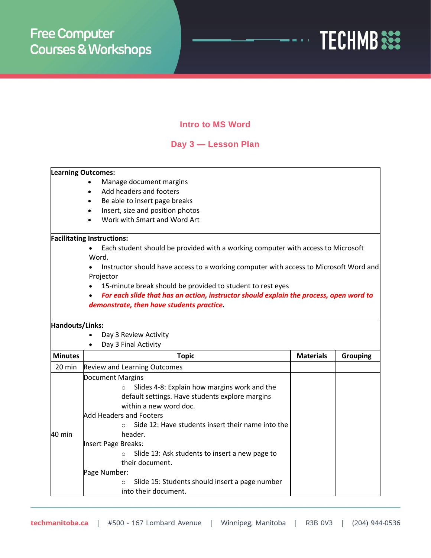

# **Intro to MS Word**

# **Day 3 — Lesson Plan**

## **Learning Outcomes:**

- Manage document margins
- Add headers and footers
- Be able to insert page breaks
- Insert, size and position photos
- Work with Smart and Word Art

### **Facilitating Instructions:**

• Each student should be provided with a working computer with access to Microsoft Word.

• Instructor should have access to a working computer with access to Microsoft Word and Projector

- 15-minute break should be provided to student to rest eyes
- *For each slide that has an action, instructor should explain the process, open word to demonstrate, then have students practice.*

### **Handouts/Links:**

- Day 3 Review Activity
- Day 3 Final Activity

| <b>Minutes</b> | <b>Topic</b>                                                                                                                                                                                                                                                                                                                                                                                                                                | <b>Materials</b> | <b>Grouping</b> |
|----------------|---------------------------------------------------------------------------------------------------------------------------------------------------------------------------------------------------------------------------------------------------------------------------------------------------------------------------------------------------------------------------------------------------------------------------------------------|------------------|-----------------|
| 20 min         | <b>Review and Learning Outcomes</b>                                                                                                                                                                                                                                                                                                                                                                                                         |                  |                 |
| 40 min         | Document Margins<br>Slides 4-8: Explain how margins work and the<br>$\circ$<br>default settings. Have students explore margins<br>within a new word doc.<br>Add Headers and Footers<br>Side 12: Have students insert their name into the<br>$\bigcirc$<br>header.<br>Insert Page Breaks:<br>Slide 13: Ask students to insert a new page to<br>their document.<br>Page Number:<br>Slide 15: Students should insert a page number<br>$\Omega$ |                  |                 |
|                | into their document.                                                                                                                                                                                                                                                                                                                                                                                                                        |                  |                 |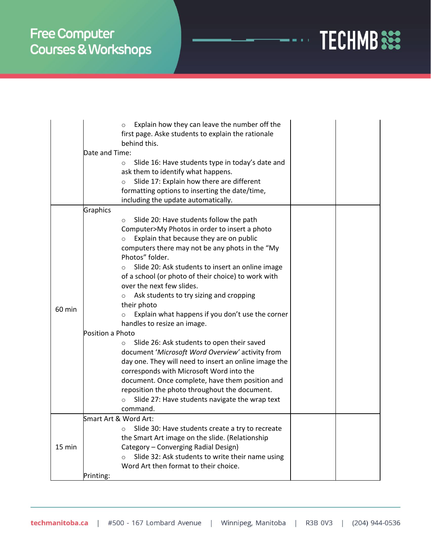

|          | Explain how they can leave the number off the<br>$\circ$     |  |
|----------|--------------------------------------------------------------|--|
|          | first page. Aske students to explain the rationale           |  |
|          | behind this.                                                 |  |
|          | Date and Time:                                               |  |
|          | Slide 16: Have students type in today's date and<br>$\circ$  |  |
|          | ask them to identify what happens.                           |  |
|          | Slide 17: Explain how there are different<br>$\Omega$        |  |
|          | formatting options to inserting the date/time,               |  |
|          | including the update automatically.                          |  |
|          | Graphics                                                     |  |
|          | Slide 20: Have students follow the path<br>$\circ$           |  |
|          | Computer>My Photos in order to insert a photo                |  |
|          | Explain that because they are on public<br>$\circ$           |  |
|          | computers there may not be any phots in the "My              |  |
|          | Photos" folder.                                              |  |
|          | Slide 20: Ask students to insert an online image<br>$\Omega$ |  |
|          | of a school (or photo of their choice) to work with          |  |
|          | over the next few slides.                                    |  |
|          | Ask students to try sizing and cropping<br>$\circ$           |  |
|          | their photo                                                  |  |
| $60$ min | Explain what happens if you don't use the corner<br>$\circ$  |  |
|          | handles to resize an image.                                  |  |
|          | Position a Photo                                             |  |
|          | Slide 26: Ask students to open their saved<br>$\circ$        |  |
|          | document 'Microsoft Word Overview' activity from             |  |
|          | day one. They will need to insert an online image the        |  |
|          | corresponds with Microsoft Word into the                     |  |
|          | document. Once complete, have them position and              |  |
|          |                                                              |  |
|          | reposition the photo throughout the document.                |  |
|          | Slide 27: Have students navigate the wrap text<br>$\circ$    |  |
|          | command.<br>Smart Art & Word Art:                            |  |
| 15 min   |                                                              |  |
|          | Slide 30: Have students create a try to recreate<br>O        |  |
|          | the Smart Art image on the slide. (Relationship              |  |
|          | Category - Converging Radial Design)                         |  |
|          | Slide 32: Ask students to write their name using<br>$\circ$  |  |
|          | Word Art then format to their choice.                        |  |
|          | Printing:                                                    |  |